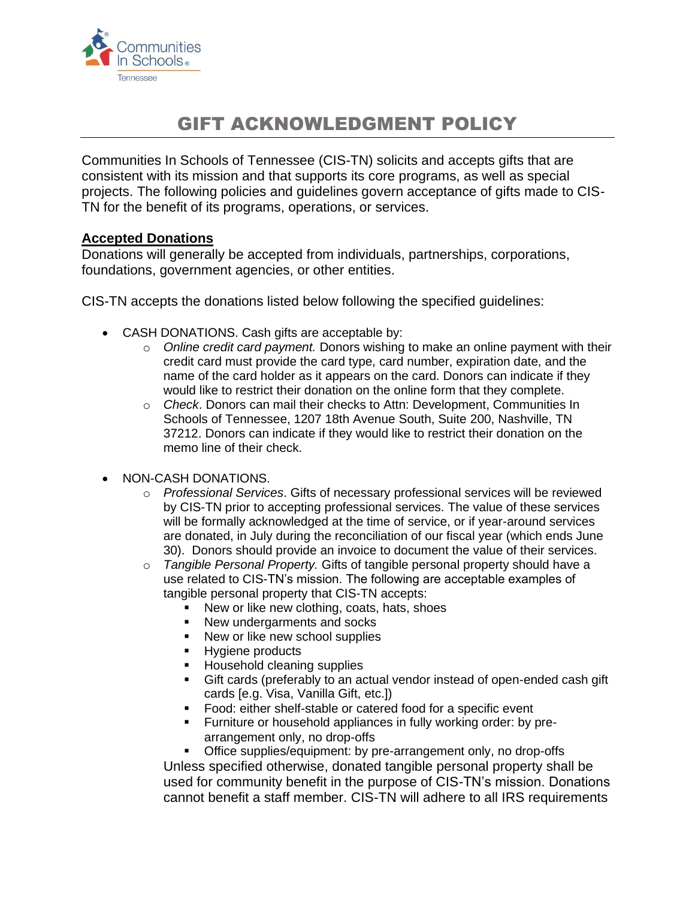

# GIFT ACKNOWLEDGMENT POLICY

Communities In Schools of Tennessee (CIS-TN) solicits and accepts gifts that are consistent with its mission and that supports its core programs, as well as special projects. The following policies and guidelines govern acceptance of gifts made to CIS-TN for the benefit of its programs, operations, or services.

### **Accepted Donations**

Donations will generally be accepted from individuals, partnerships, corporations, foundations, government agencies, or other entities.

CIS-TN accepts the donations listed below following the specified guidelines:

- CASH DONATIONS. Cash gifts are acceptable by:
	- o *Online credit card payment.* Donors wishing to make an online payment with their credit card must provide the card type, card number, expiration date, and the name of the card holder as it appears on the card. Donors can indicate if they would like to restrict their donation on the online form that they complete.
	- o *Check*. Donors can mail their checks to Attn: Development, Communities In Schools of Tennessee, 1207 18th Avenue South, Suite 200, Nashville, TN 37212. Donors can indicate if they would like to restrict their donation on the memo line of their check.
- NON-CASH DONATIONS.
	- o *Professional Services*. Gifts of necessary professional services will be reviewed by CIS-TN prior to accepting professional services. The value of these services will be formally acknowledged at the time of service, or if year-around services are donated, in July during the reconciliation of our fiscal year (which ends June 30). Donors should provide an invoice to document the value of their services.
	- o *Tangible Personal Property.* Gifts of tangible personal property should have a use related to CIS-TN's mission. The following are acceptable examples of tangible personal property that CIS-TN accepts:
		- New or like new clothing, coats, hats, shoes
		- New undergarments and socks
		- New or like new school supplies
		- Hygiene products
		- Household cleaning supplies
		- Gift cards (preferably to an actual vendor instead of open-ended cash gift cards [e.g. Visa, Vanilla Gift, etc.])
		- Food: either shelf-stable or catered food for a specific event
		- Furniture or household appliances in fully working order: by prearrangement only, no drop-offs

**•** Office supplies/equipment: by pre-arrangement only, no drop-offs Unless specified otherwise, donated tangible personal property shall be used for community benefit in the purpose of CIS-TN's mission. Donations cannot benefit a staff member. CIS-TN will adhere to all IRS requirements